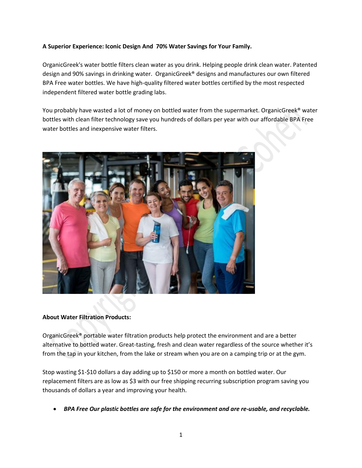#### **A Superior Experience: Iconic Design And 70% Water Savings for Your Family.**

OrganicGreek's water bottle filters clean water as you drink. Helping people drink clean water. Patented design and 90% savings in drinking water. OrganicGreek® designs and manufactures our own filtered BPA Free water bottles. We have high-quality filtered water bottles certified by the most respected independent filtered water bottle grading labs.

You probably have wasted a lot of money on bottled water from the supermarket. OrganicGreek® water bottles with clean filter technology save you hundreds of dollars per year with our affordable BPA Free water bottles and inexpensive water filters.



#### **About Water Filtration Products:**

OrganicGreek® portable water filtration products help protect the environment and are a better alternative to bottled water. Great-tasting, fresh and clean water regardless of the source whether it's from the tap in your kitchen, from the lake or stream when you are on a camping trip or at the gym.

Stop wasting \$1-\$10 dollars a day adding up to \$150 or more a month on bottled water. Our replacement filters are as low as \$3 with our free shipping recurring subscription program saving you thousands of dollars a year and improving your health.

*BPA Free Our plastic bottles are safe for the environment and are re-usable, and recyclable.*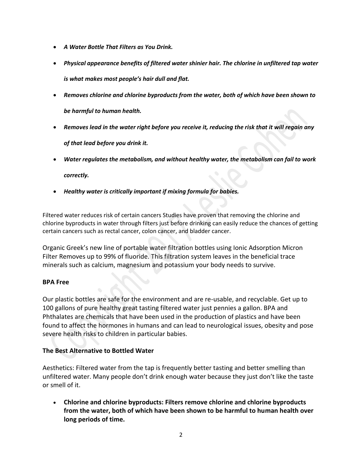- *A Water Bottle That Filters as You Drink.*
- *Physical appearance benefits of filtered water shinier hair. The chlorine in unfiltered tap water is what makes most people's hair dull and flat.*
- *Removes chlorine and chlorine byproducts from the water, both of which have been shown to be harmful to human health.*
- *Removes lead in the water right before you receive it, reducing the risk that it will regain any of that lead before you drink it.*
- *Water regulates the metabolism, and without healthy water, the metabolism can fail to work* 
	- *correctly.*
- *Healthy water is critically important if mixing formula for babies.*

Filtered water reduces risk of certain cancers Studies have proven that removing the chlorine and chlorine byproducts in water through filters just before drinking can easily reduce the chances of getting certain cancers such as rectal cancer, colon cancer, and bladder cancer.

Organic Greek's new line of portable water filtration bottles using Ionic Adsorption Micron Filter Removes up to 99% of fluoride. This filtration system leaves in the beneficial trace minerals such as calcium, magnesium and potassium your body needs to survive.

# **BPA Free**

Our plastic bottles are safe for the environment and are re-usable, and recyclable. Get up to 100 gallons of pure healthy great tasting filtered water just pennies a gallon. BPA and Phthalates are chemicals that have been used in the production of plastics and have been found to affect the hormones in humans and can lead to neurological issues, obesity and pose severe health risks to children in particular babies.

# **The Best Alternative to Bottled Water**

Aesthetics: Filtered water from the tap is frequently better tasting and better smelling than unfiltered water. Many people don't drink enough water because they just don't like the taste or smell of it.

 **Chlorine and chlorine byproducts: Filters remove chlorine and chlorine byproducts from the water, both of which have been shown to be harmful to human health over long periods of time.**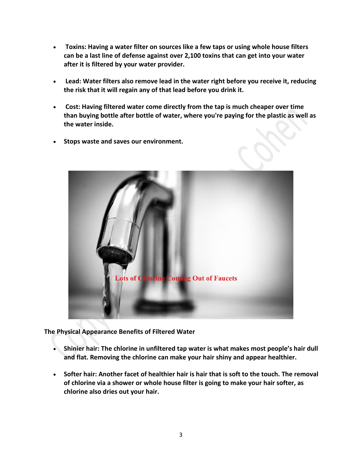- **Toxins: Having a water filter on sources like a few taps or using whole house filters can be a last line of defense against over 2,100 toxins that can get into your water after it is filtered by your water provider.**
- **Lead: Water filters also remove lead in the water right before you receive it, reducing the risk that it will regain any of that lead before you drink it.**
- **Cost: Having filtered water come directly from the tap is much cheaper over time than buying bottle after bottle of water, where you're paying for the plastic as well as the water inside.**
- **Stops waste and saves our environment.**



**The Physical Appearance Benefits of Filtered Water**

- **Shinier hair: The chlorine in unfiltered tap water is what makes most people's hair dull and flat. Removing the chlorine can make your hair shiny and appear healthier.**
- **Softer hair: Another facet of healthier hair is hair that is soft to the touch. The removal of chlorine via a shower or whole house filter is going to make your hair softer, as chlorine also dries out your hair.**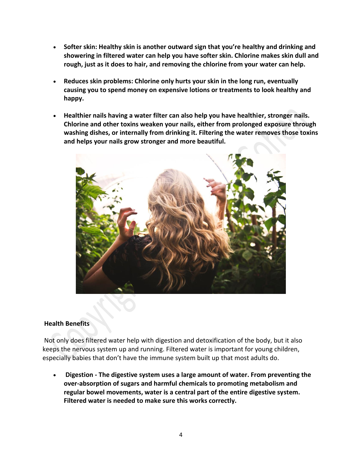- **Softer skin: Healthy skin is another outward sign that you're healthy and drinking and showering in filtered water can help you have softer skin. Chlorine makes skin dull and rough, just as it does to hair, and removing the chlorine from your water can help.**
- **Reduces skin problems: Chlorine only hurts your skin in the long run, eventually causing you to spend money on expensive lotions or treatments to look healthy and happy.**
- **Healthier nails having a water filter can also help you have healthier, stronger nails. Chlorine and other toxins weaken your nails, either from prolonged exposure through washing dishes, or internally from drinking it. Filtering the water removes those toxins and helps your nails grow stronger and more beautiful.**



## **Health Benefits**

Not only does filtered water help with digestion and detoxification of the body, but it also keeps the nervous system up and running. Filtered water is important for young children, especially babies that don't have the immune system built up that most adults do.

 **Digestion - The digestive system uses a large amount of water. From preventing the over-absorption of sugars and harmful chemicals to promoting metabolism and regular bowel movements, water is a central part of the entire digestive system. Filtered water is needed to make sure this works correctly.**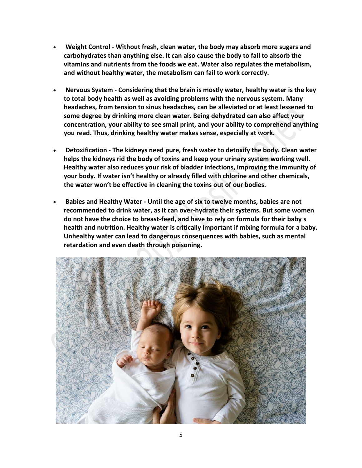- **Weight Control - Without fresh, clean water, the body may absorb more sugars and carbohydrates than anything else. It can also cause the body to fail to absorb the vitamins and nutrients from the foods we eat. Water also regulates the metabolism, and without healthy water, the metabolism can fail to work correctly.**
- **Nervous System - Considering that the brain is mostly water, healthy water is the key to total body health as well as avoiding problems with the nervous system. Many headaches, from tension to sinus headaches, can be alleviated or at least lessened to some degree by drinking more clean water. Being dehydrated can also affect your concentration, your ability to see small print, and your ability to comprehend anything you read. Thus, drinking healthy water makes sense, especially at work.**
- **Detoxification - The kidneys need pure, fresh water to detoxify the body. Clean water helps the kidneys rid the body of toxins and keep your urinary system working well. Healthy water also reduces your risk of bladder infections, improving the immunity of your body. If water isn't healthy or already filled with chlorine and other chemicals, the water won't be effective in cleaning the toxins out of our bodies.**
- **Babies and Healthy Water - Until the age of six to twelve months, babies are not recommended to drink water, as it can over-hydrate their systems. But some women do not have the choice to breast-feed, and have to rely on formula for their baby s health and nutrition. Healthy water is critically important if mixing formula for a baby. Unhealthy water can lead to dangerous consequences with babies, such as mental retardation and even death through poisoning.**

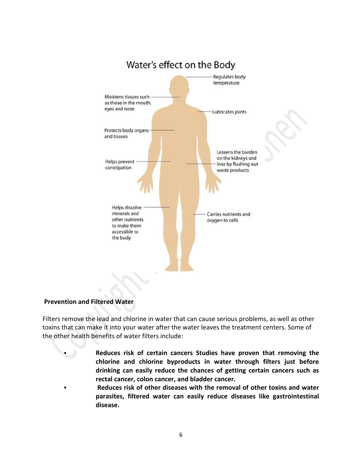

## **Prevention and Filtered Water**

Filters remove the lead and chlorine in water that can cause serious problems, as well as other toxins that can make it into your water after the water leaves the treatment centers. Some of the other health benefits of water filters include:

> **Reduces risk of certain cancers Studies have proven that removing the chlorine and chlorine byproducts in water through filters just before drinking can easily reduce the chances of getting certain cancers such as rectal cancer, colon cancer, and bladder cancer.**

 **Reduces risk of other diseases with the removal of other toxins and water parasites, filtered water can easily reduce diseases like gastrointestinal disease.**